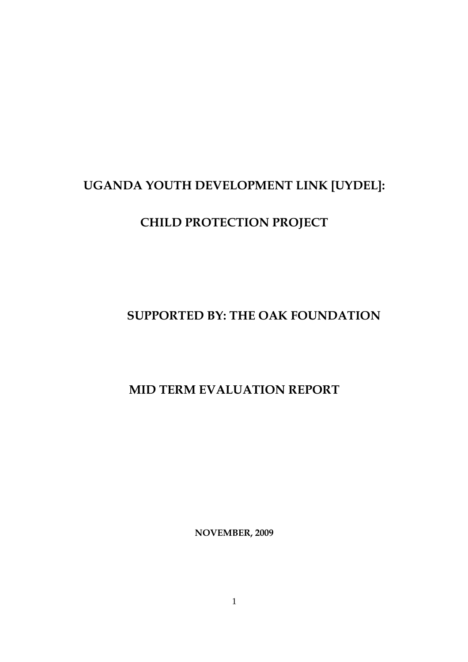# **UGANDA YOUTH DEVELOPMENT LINK [UYDEL]:**

# **CHILD PROTECTION PROJECT**

## **SUPPORTED BY: THE OAK FOUNDATION**

## **MID TERM EVALUATION REPORT**

**NOVEMBER, 2009**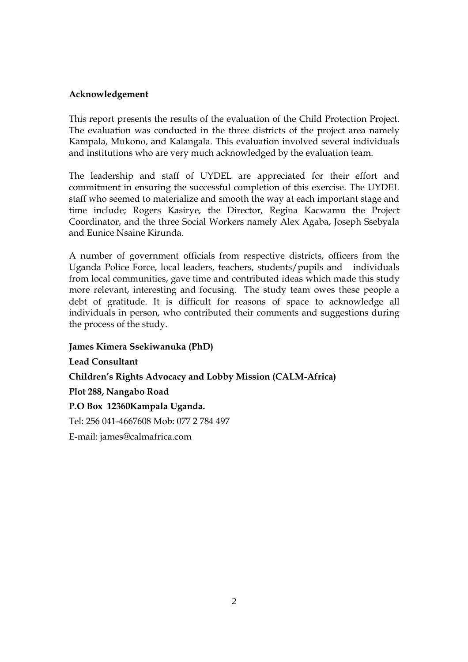#### **Acknowledgement**

This report presents the results of the evaluation of the Child Protection Project. The evaluation was conducted in the three districts of the project area namely Kampala, Mukono, and Kalangala. This evaluation involved several individuals and institutions who are very much acknowledged by the evaluation team.

The leadership and staff of UYDEL are appreciated for their effort and commitment in ensuring the successful completion of this exercise. The UYDEL staff who seemed to materialize and smooth the way at each important stage and time include; Rogers Kasirye, the Director, Regina Kacwamu the Project Coordinator, and the three Social Workers namely Alex Agaba, Joseph Ssebyala and Eunice Nsaine Kirunda.

A number of government officials from respective districts, officers from the Uganda Police Force, local leaders, teachers, students/pupils and individuals from local communities, gave time and contributed ideas which made this study more relevant, interesting and focusing. The study team owes these people a debt of gratitude. It is difficult for reasons of space to acknowledge all individuals in person, who contributed their comments and suggestions during the process of the study.

**James Kimera Ssekiwanuka (PhD) Lead Consultant Children's Rights Advocacy and Lobby Mission (CALM-Africa) Plot 288, Nangabo Road P.O Box 12360Kampala Uganda.** Tel: 256 041-4667608 Mob: 077 2 784 497 E-mail: james@calmafrica.com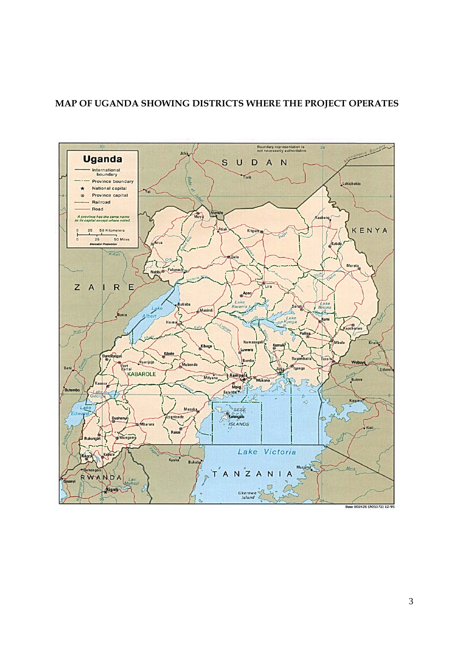## **MAP OF UGANDA SHOWING DISTRICTS WHERE THE PROJECT OPERATES**

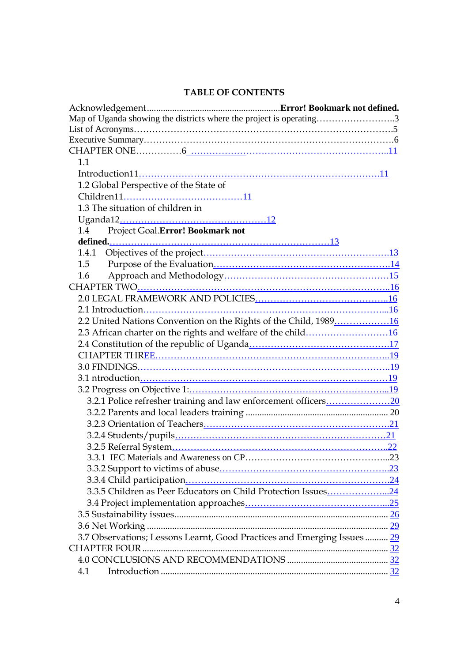## **TABLE OF CONTENTS**

| Map of Uganda showing the districts where the project is operating3      |  |
|--------------------------------------------------------------------------|--|
|                                                                          |  |
|                                                                          |  |
|                                                                          |  |
| 1.1                                                                      |  |
|                                                                          |  |
| 1.2 Global Perspective of the State of                                   |  |
|                                                                          |  |
| 1.3 The situation of children in                                         |  |
|                                                                          |  |
| Project Goal.Error! Bookmark not<br>1.4                                  |  |
|                                                                          |  |
| 1.4.1                                                                    |  |
| 1.5                                                                      |  |
| 1.6                                                                      |  |
|                                                                          |  |
|                                                                          |  |
|                                                                          |  |
| 2.2 United Nations Convention on the Rights of the Child, 198916         |  |
|                                                                          |  |
|                                                                          |  |
|                                                                          |  |
|                                                                          |  |
|                                                                          |  |
|                                                                          |  |
| 3.2.1 Police refresher training and law enforcement officers20           |  |
|                                                                          |  |
|                                                                          |  |
|                                                                          |  |
|                                                                          |  |
|                                                                          |  |
|                                                                          |  |
|                                                                          |  |
| 3.3.5 Children as Peer Educators on Child Protection Issues24            |  |
|                                                                          |  |
|                                                                          |  |
|                                                                          |  |
| 3.7 Observations; Lessons Learnt, Good Practices and Emerging Issues  29 |  |
| <b>CHAPTER FOUR.</b>                                                     |  |
|                                                                          |  |
| 4.1                                                                      |  |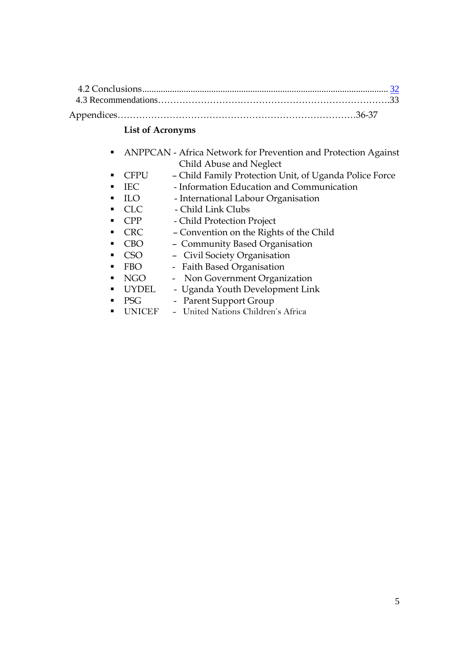## **List of Acronyms**

- ANPPCAN Africa Network for Prevention and Protection Against Child Abuse and Neglect
- CFPU Child Family Protection Unit, of Uganda Police Force
- **IEC** Information Education and Communication
- **ILO** International Labour Organisation
- CLC Child Link Clubs
	- CPP Child Protection Project
- CRC Convention on the Rights of the Child
- CBO Community Based Organisation
- CSO Civil Society Organisation
- **FBO** Faith Based Organisation
- **NGO** Non Government Organization
	- UYDEL Uganda Youth Development Link
- PSG Parent Support Group
- UNICEF United Nations Children's Africa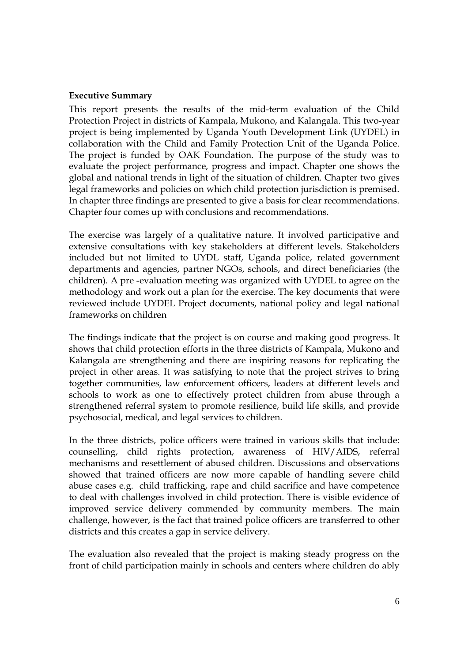#### **Executive Summary**

This report presents the results of the mid-term evaluation of the Child Protection Project in districts of Kampala, Mukono, and Kalangala. This two-year project is being implemented by Uganda Youth Development Link (UYDEL) in collaboration with the Child and Family Protection Unit of the Uganda Police. The project is funded by OAK Foundation. The purpose of the study was to evaluate the project performance, progress and impact. Chapter one shows the global and national trends in light of the situation of children. Chapter two gives legal frameworks and policies on which child protection jurisdiction is premised. In chapter three findings are presented to give a basis for clear recommendations. Chapter four comes up with conclusions and recommendations.

The exercise was largely of a qualitative nature. It involved participative and extensive consultations with key stakeholders at different levels. Stakeholders included but not limited to UYDL staff, Uganda police, related government departments and agencies, partner NGOs, schools, and direct beneficiaries (the children). A pre -evaluation meeting was organized with UYDEL to agree on the methodology and work out a plan for the exercise. The key documents that were reviewed include UYDEL Project documents, national policy and legal national frameworks on children

The findings indicate that the project is on course and making good progress. It shows that child protection efforts in the three districts of Kampala, Mukono and Kalangala are strengthening and there are inspiring reasons for replicating the project in other areas. It was satisfying to note that the project strives to bring together communities, law enforcement officers, leaders at different levels and schools to work as one to effectively protect children from abuse through a strengthened referral system to promote resilience, build life skills, and provide psychosocial, medical, and legal services to children.

In the three districts, police officers were trained in various skills that include: counselling, child rights protection, awareness of HIV/AIDS, referral mechanisms and resettlement of abused children. Discussions and observations showed that trained officers are now more capable of handling severe child abuse cases e.g. child trafficking, rape and child sacrifice and have competence to deal with challenges involved in child protection. There is visible evidence of improved service delivery commended by community members. The main challenge, however, is the fact that trained police officers are transferred to other districts and this creates a gap in service delivery.

The evaluation also revealed that the project is making steady progress on the front of child participation mainly in schools and centers where children do ably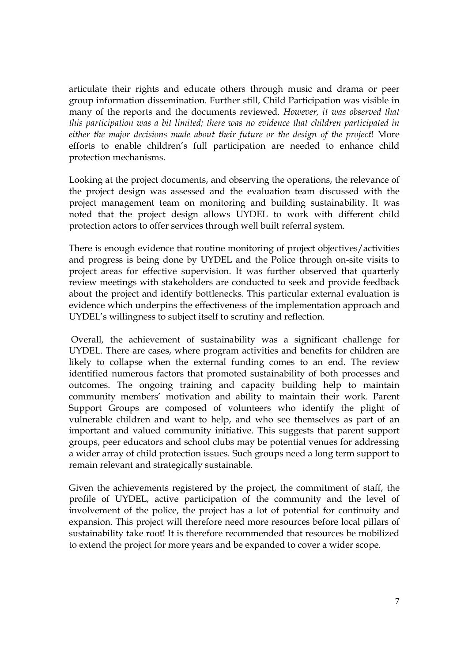articulate their rights and educate others through music and drama or peer group information dissemination. Further still, Child Participation was visible in many of the reports and the documents reviewed. *However, it was observed that this participation was a bit limited; there was no evidence that children participated in either the major decisions made about their future or the design of the project*! More efforts to enable children's full participation are needed to enhance child protection mechanisms.

Looking at the project documents, and observing the operations, the relevance of the project design was assessed and the evaluation team discussed with the project management team on monitoring and building sustainability. It was noted that the project design allows UYDEL to work with different child protection actors to offer services through well built referral system.

There is enough evidence that routine monitoring of project objectives/activities and progress is being done by UYDEL and the Police through on-site visits to project areas for effective supervision. It was further observed that quarterly review meetings with stakeholders are conducted to seek and provide feedback about the project and identify bottlenecks. This particular external evaluation is evidence which underpins the effectiveness of the implementation approach and UYDEL's willingness to subject itself to scrutiny and reflection.

Overall, the achievement of sustainability was a significant challenge for UYDEL. There are cases, where program activities and benefits for children are likely to collapse when the external funding comes to an end. The review identified numerous factors that promoted sustainability of both processes and outcomes. The ongoing training and capacity building help to maintain community members' motivation and ability to maintain their work. Parent Support Groups are composed of volunteers who identify the plight of vulnerable children and want to help, and who see themselves as part of an important and valued community initiative. This suggests that parent support groups, peer educators and school clubs may be potential venues for addressing a wider array of child protection issues. Such groups need a long term support to remain relevant and strategically sustainable.

Given the achievements registered by the project, the commitment of staff, the profile of UYDEL, active participation of the community and the level of involvement of the police, the project has a lot of potential for continuity and expansion. This project will therefore need more resources before local pillars of sustainability take root! It is therefore recommended that resources be mobilized to extend the project for more years and be expanded to cover a wider scope.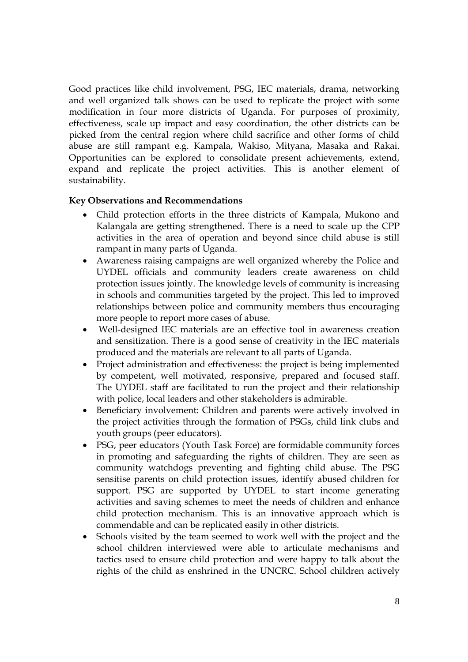Good practices like child involvement, PSG, IEC materials, drama, networking and well organized talk shows can be used to replicate the project with some modification in four more districts of Uganda. For purposes of proximity, effectiveness, scale up impact and easy coordination, the other districts can be picked from the central region where child sacrifice and other forms of child abuse are still rampant e.g. Kampala, Wakiso, Mityana, Masaka and Rakai. Opportunities can be explored to consolidate present achievements, extend, expand and replicate the project activities. This is another element of sustainability.

#### **Key Observations and Recommendations**

- Child protection efforts in the three districts of Kampala, Mukono and Kalangala are getting strengthened. There is a need to scale up the CPP activities in the area of operation and beyond since child abuse is still rampant in many parts of Uganda.
- Awareness raising campaigns are well organized whereby the Police and UYDEL officials and community leaders create awareness on child protection issues jointly. The knowledge levels of community is increasing in schools and communities targeted by the project. This led to improved relationships between police and community members thus encouraging more people to report more cases of abuse.
- Well-designed IEC materials are an effective tool in awareness creation and sensitization. There is a good sense of creativity in the IEC materials produced and the materials are relevant to all parts of Uganda.
- Project administration and effectiveness: the project is being implemented by competent, well motivated, responsive, prepared and focused staff. The UYDEL staff are facilitated to run the project and their relationship with police, local leaders and other stakeholders is admirable.
- Beneficiary involvement: Children and parents were actively involved in the project activities through the formation of PSGs, child link clubs and youth groups (peer educators).
- PSG, peer educators (Youth Task Force) are formidable community forces in promoting and safeguarding the rights of children. They are seen as community watchdogs preventing and fighting child abuse. The PSG sensitise parents on child protection issues, identify abused children for support. PSG are supported by UYDEL to start income generating activities and saving schemes to meet the needs of children and enhance child protection mechanism. This is an innovative approach which is commendable and can be replicated easily in other districts.
- Schools visited by the team seemed to work well with the project and the school children interviewed were able to articulate mechanisms and tactics used to ensure child protection and were happy to talk about the rights of the child as enshrined in the UNCRC. School children actively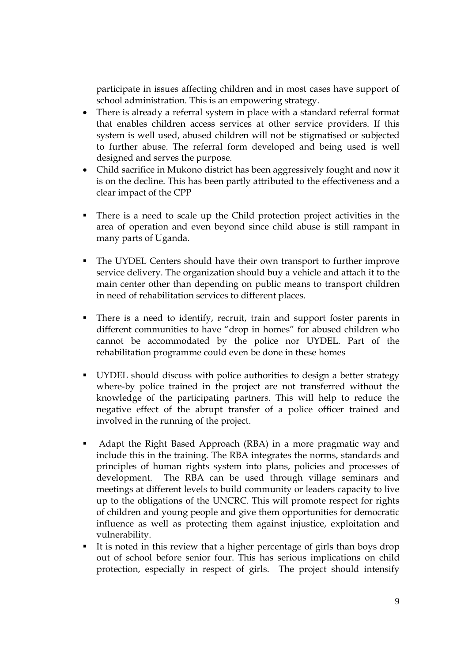participate in issues affecting children and in most cases have support of school administration. This is an empowering strategy.

- There is already a referral system in place with a standard referral format that enables children access services at other service providers. If this system is well used, abused children will not be stigmatised or subjected to further abuse. The referral form developed and being used is well designed and serves the purpose.
- Child sacrifice in Mukono district has been aggressively fought and now it is on the decline. This has been partly attributed to the effectiveness and a clear impact of the CPP
- There is a need to scale up the Child protection project activities in the area of operation and even beyond since child abuse is still rampant in many parts of Uganda.
- The UYDEL Centers should have their own transport to further improve service delivery. The organization should buy a vehicle and attach it to the main center other than depending on public means to transport children in need of rehabilitation services to different places.
- There is a need to identify, recruit, train and support foster parents in different communities to have "drop in homes" for abused children who cannot be accommodated by the police nor UYDEL. Part of the rehabilitation programme could even be done in these homes
- UYDEL should discuss with police authorities to design a better strategy where-by police trained in the project are not transferred without the knowledge of the participating partners. This will help to reduce the negative effect of the abrupt transfer of a police officer trained and involved in the running of the project.
- Adapt the Right Based Approach (RBA) in a more pragmatic way and include this in the training. The RBA integrates the norms, standards and principles of human rights system into plans, policies and processes of development. The RBA can be used through village seminars and meetings at different levels to build community or leaders capacity to live up to the obligations of the UNCRC. This will promote respect for rights of children and young people and give them opportunities for democratic influence as well as protecting them against injustice, exploitation and vulnerability.
- It is noted in this review that a higher percentage of girls than boys drop out of school before senior four. This has serious implications on child protection, especially in respect of girls. The project should intensify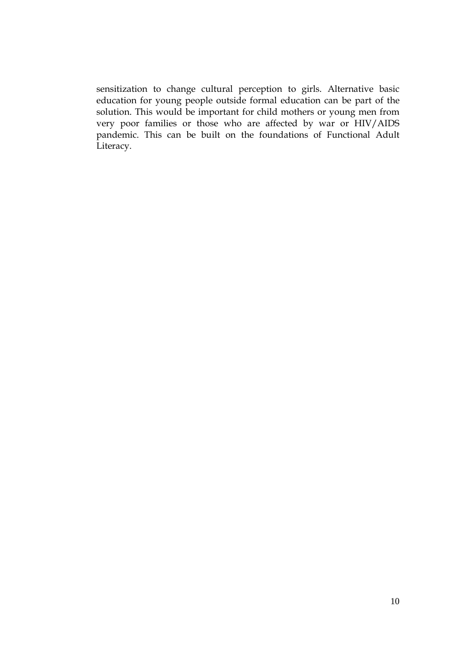sensitization to change cultural perception to girls. Alternative basic education for young people outside formal education can be part of the solution. This would be important for child mothers or young men from very poor families or those who are affected by war or HIV/AIDS pandemic. This can be built on the foundations of Functional Adult Literacy.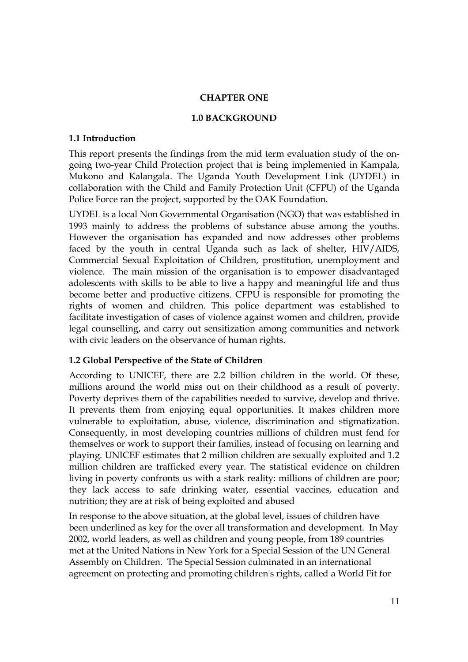#### **CHAPTER ONE**

#### **1.0 BACKGROUND**

#### **1.1 Introduction**

This report presents the findings from the mid term evaluation study of the ongoing two-year Child Protection project that is being implemented in Kampala, Mukono and Kalangala. The Uganda Youth Development Link (UYDEL) in collaboration with the Child and Family Protection Unit (CFPU) of the Uganda Police Force ran the project, supported by the OAK Foundation.

UYDEL is a local Non Governmental Organisation (NGO) that was established in 1993 mainly to address the problems of substance abuse among the youths. However the organisation has expanded and now addresses other problems faced by the youth in central Uganda such as lack of shelter, HIV/AIDS, Commercial Sexual Exploitation of Children, prostitution, unemployment and violence. The main mission of the organisation is to empower disadvantaged adolescents with skills to be able to live a happy and meaningful life and thus become better and productive citizens. CFPU is responsible for promoting the rights of women and children. This police department was established to facilitate investigation of cases of violence against women and children, provide legal counselling, and carry out sensitization among communities and network with civic leaders on the observance of human rights.

### **1.2 Global Perspective of the State of Children**

According to UNICEF, there are 2.2 billion children in the world. Of these, millions around the world miss out on their childhood as a result of poverty. Poverty deprives them of the capabilities needed to survive, develop and thrive. It prevents them from enjoying equal opportunities. It makes children more vulnerable to exploitation, abuse, violence, discrimination and stigmatization. Consequently, in most developing countries millions of children must fend for themselves or work to support their families, instead of focusing on learning and playing. UNICEF estimates that 2 million children are sexually exploited and 1.2 million children are trafficked every year. The statistical evidence on children living in poverty confronts us with a stark reality: millions of children are poor; they lack access to safe drinking water, essential vaccines, education and nutrition; they are at risk of being exploited and abused

In response to the above situation, at the global level, issues of children have been underlined as key for the over all transformation and development. In May 2002, world leaders, as well as children and young people, from 189 countries met at the United Nations in New York for a Special Session of the UN General Assembly on Children. The Special Session culminated in an international agreement on protecting and promoting children's rights, called a World Fit for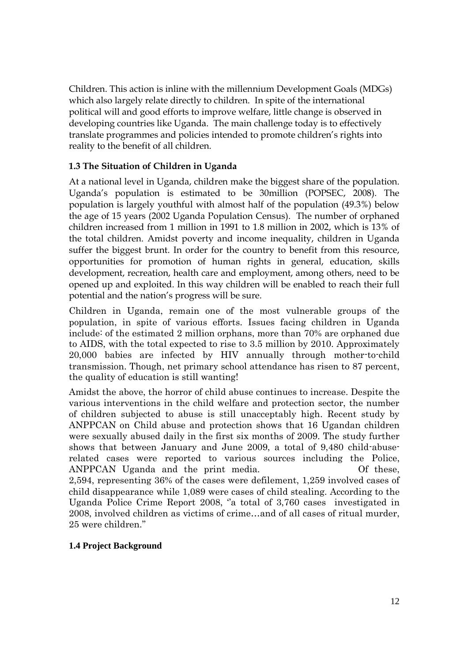Children. This action is inline with the millennium Development Goals (MDGs) which also largely relate directly to children. In spite of the international political will and good efforts to improve welfare, little change is observed in developing countries like Uganda. The main challenge today is to effectively translate programmes and policies intended to promote children's rights into reality to the benefit of all children.

## **1.3 The Situation of Children in Uganda**

At a national level in Uganda, children make the biggest share of the population. Uganda's population is estimated to be 30million (POPSEC, 2008). The population is largely youthful with almost half of the population (49.3%) below the age of 15 years (2002 Uganda Population Census). The number of orphaned children increased from 1 million in 1991 to 1.8 million in 2002, which is 13% of the total children. Amidst poverty and income inequality, children in Uganda suffer the biggest brunt. In order for the country to benefit from this resource, opportunities for promotion of human rights in general, education, skills development, recreation, health care and employment, among others, need to be opened up and exploited. In this way children will be enabled to reach their full potential and the nation's progress will be sure.

Children in Uganda, remain one of the most vulnerable groups of the population, in spite of various efforts. Issues facing children in Uganda include: of the estimated 2 million orphans, more than 70% are orphaned due to AIDS, with the total expected to rise to 3.5 million by 2010. Approximately 20,000 babies are infected by HIV annually through mother-to-child transmission. Though, net primary school attendance has risen to 87 percent, the quality of education is still wanting!

Amidst the above, the horror of child abuse continues to increase. Despite the various interventions in the child welfare and protection sector, the number of children subjected to abuse is still unacceptably high. Recent study by ANPPCAN on Child abuse and protection shows that 16 Ugandan children were sexually abused daily in the first six months of 2009. The study further shows that between January and June 2009, a total of 9,480 child-abuserelated cases were reported to various sources including the Police, ANPPCAN Uganda and the print media. Of these, 2,594, representing 36% of the cases were defilement, 1,259 involved cases of child disappearance while 1,089 were cases of child stealing. According to the Uganda Police Crime Report 2008, "a total of 3,760 cases investigated in 2008, involved children as victims of crime…and of all cases of ritual murder, 25 were children."

### **1.4 Project Background**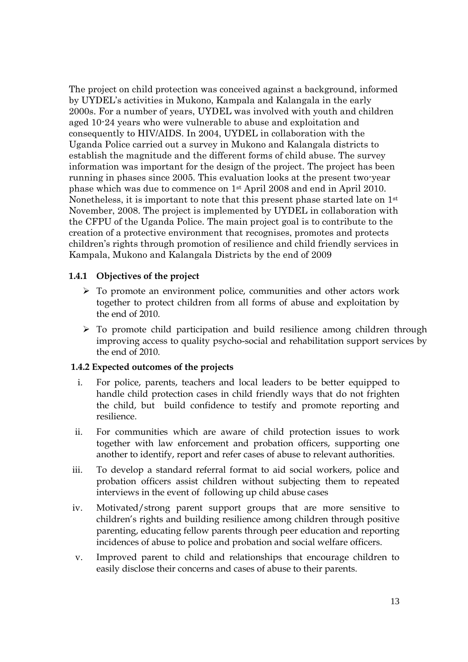The project on child protection was conceived against a background, informed by UYDEL's activities in Mukono, Kampala and Kalangala in the early 2000s. For a number of years, UYDEL was involved with youth and children aged 10-24 years who were vulnerable to abuse and exploitation and consequently to HIV/AIDS. In 2004, UYDEL in collaboration with the Uganda Police carried out a survey in Mukono and Kalangala districts to establish the magnitude and the different forms of child abuse. The survey information was important for the design of the project. The project has been running in phases since 2005. This evaluation looks at the present two-year phase which was due to commence on 1st April 2008 and end in April 2010. Nonetheless, it is important to note that this present phase started late on 1st November, 2008. The project is implemented by UYDEL in collaboration with the CFPU of the Uganda Police. The main project goal is to contribute to the creation of a protective environment that recognises, promotes and protects children's rights through promotion of resilience and child friendly services in Kampala, Mukono and Kalangala Districts by the end of 2009

#### **1.4.1 Objectives of the project**

- $\triangleright$  To promote an environment police, communities and other actors work together to protect children from all forms of abuse and exploitation by the end of 2010.
- $\triangleright$  To promote child participation and build resilience among children through improving access to quality psycho-social and rehabilitation support services by the end of 2010.

#### **1.4.2 Expected outcomes of the projects**

- i. For police, parents, teachers and local leaders to be better equipped to handle child protection cases in child friendly ways that do not frighten the child, but build confidence to testify and promote reporting and resilience.
- ii. For communities which are aware of child protection issues to work together with law enforcement and probation officers, supporting one another to identify, report and refer cases of abuse to relevant authorities.
- iii. To develop a standard referral format to aid social workers, police and probation officers assist children without subjecting them to repeated interviews in the event of following up child abuse cases
- iv. Motivated/strong parent support groups that are more sensitive to children's rights and building resilience among children through positive parenting, educating fellow parents through peer education and reporting incidences of abuse to police and probation and social welfare officers.
- v. Improved parent to child and relationships that encourage children to easily disclose their concerns and cases of abuse to their parents.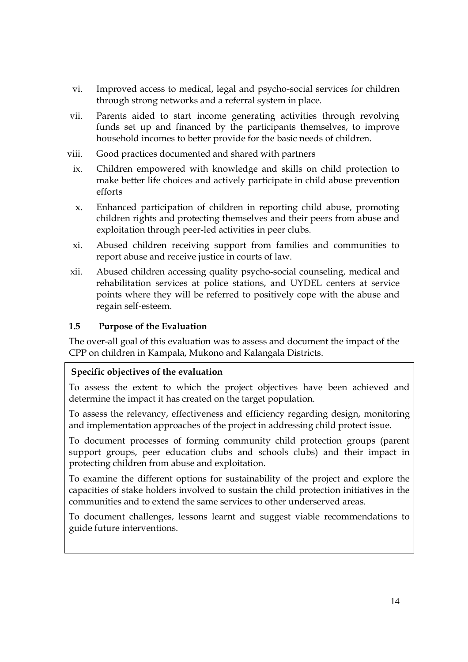- vi. Improved access to medical, legal and psycho-social services for children through strong networks and a referral system in place.
- vii. Parents aided to start income generating activities through revolving funds set up and financed by the participants themselves, to improve household incomes to better provide for the basic needs of children.
- viii. Good practices documented and shared with partners
- ix. Children empowered with knowledge and skills on child protection to make better life choices and actively participate in child abuse prevention efforts
- x. Enhanced participation of children in reporting child abuse, promoting children rights and protecting themselves and their peers from abuse and exploitation through peer-led activities in peer clubs.
- xi. Abused children receiving support from families and communities to report abuse and receive justice in courts of law.
- xii. Abused children accessing quality psycho-social counseling, medical and rehabilitation services at police stations, and UYDEL centers at service points where they will be referred to positively cope with the abuse and regain self-esteem.

## **1.5 Purpose of the Evaluation**

The over-all goal of this evaluation was to assess and document the impact of the CPP on children in Kampala, Mukono and Kalangala Districts.

## **Specific objectives of the evaluation**

To assess the extent to which the project objectives have been achieved and determine the impact it has created on the target population.

To assess the relevancy, effectiveness and efficiency regarding design, monitoring and implementation approaches of the project in addressing child protect issue.

To document processes of forming community child protection groups (parent support groups, peer education clubs and schools clubs) and their impact in protecting children from abuse and exploitation.

To examine the different options for sustainability of the project and explore the capacities of stake holders involved to sustain the child protection initiatives in the communities and to extend the same services to other underserved areas.

To document challenges, lessons learnt and suggest viable recommendations to guide future interventions.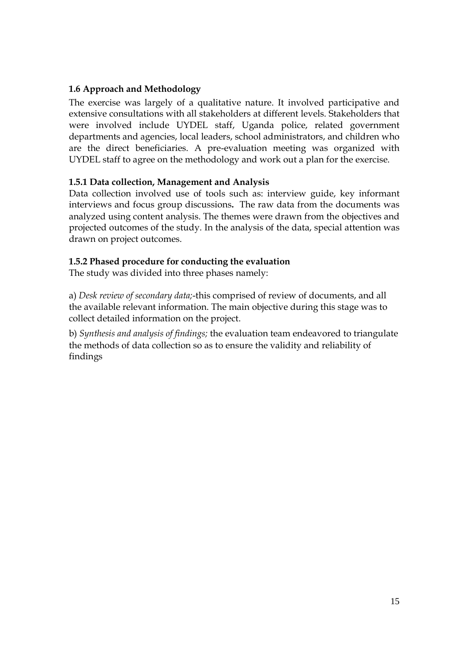## **1.6 Approach and Methodology**

The exercise was largely of a qualitative nature. It involved participative and extensive consultations with all stakeholders at different levels. Stakeholders that were involved include UYDEL staff, Uganda police, related government departments and agencies, local leaders, school administrators, and children who are the direct beneficiaries. A pre-evaluation meeting was organized with UYDEL staff to agree on the methodology and work out a plan for the exercise.

### **1.5.1 Data collection, Management and Analysis**

Data collection involved use of tools such as: interview guide, key informant interviews and focus group discussions**.** The raw data from the documents was analyzed using content analysis. The themes were drawn from the objectives and projected outcomes of the study. In the analysis of the data, special attention was drawn on project outcomes.

### **1.5.2 Phased procedure for conducting the evaluation**

The study was divided into three phases namely:

a) *Desk review of secondary data;*-this comprised of review of documents, and all the available relevant information. The main objective during this stage was to collect detailed information on the project.

b) *Synthesis and analysis of findings;* the evaluation team endeavored to triangulate the methods of data collection so as to ensure the validity and reliability of findings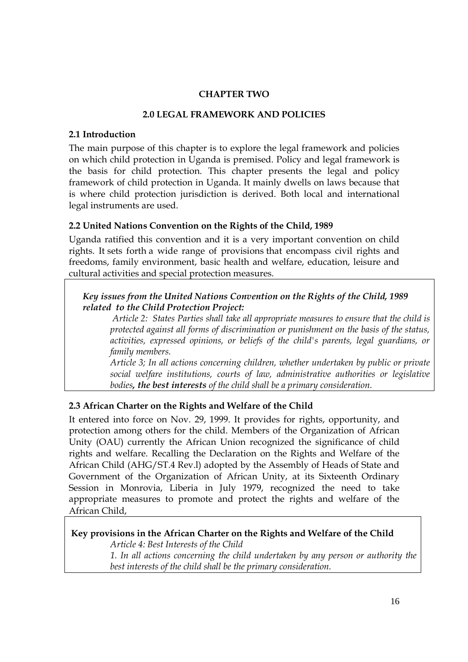## **CHAPTER TWO**

#### **2.0 LEGAL FRAMEWORK AND POLICIES**

#### **2.1 Introduction**

The main purpose of this chapter is to explore the legal framework and policies on which child protection in Uganda is premised. Policy and legal framework is the basis for child protection. This chapter presents the legal and policy framework of child protection in Uganda. It mainly dwells on laws because that is where child protection jurisdiction is derived. Both local and international legal instruments are used.

### **2.2 United Nations Convention on the Rights of the Child, 1989**

Uganda ratified this convention and it is a very important convention on child rights. It sets forth a wide range of provisions that encompass civil rights and freedoms, family environment, basic health and welfare, education, leisure and cultural activities and special protection measures.

*Key issues from the United Nations Convention on the Rights of the Child, 1989 related to the Child Protection Project:*

*Article 2: States Parties shall take all appropriate measures to ensure that the child is protected against all forms of discrimination or punishment on the basis of the status, activities, expressed opinions, or beliefs of the child's parents, legal guardians, or family members.*

*Article 3; In all actions concerning children, whether undertaken by public or private social welfare institutions, courts of law, administrative authorities or legislative bodies, the best interests of the child shall be a primary consideration.*

### **2.3 African Charter on the Rights and Welfare of the Child**

It entered into force on Nov. 29, 1999. It provides for rights, opportunity, and protection among others for the child. Members of the Organization of African Unity (OAU) currently the African Union recognized the significance of child rights and welfare. Recalling the Declaration on the Rights and Welfare of the African Child (AHG/ST.4 Rev.l) adopted by the Assembly of Heads of State and Government of the Organization of African Unity, at its Sixteenth Ordinary Session in Monrovia, Liberia in July 1979, recognized the need to take appropriate measures to promote and protect the rights and welfare of the African Child,

### **Key provisions in the African Charter on the Rights and Welfare of the Child**

*Article 4: Best Interests of the Child 1. In all actions concerning the child undertaken by any person or authority the best interests of the child shall be the primary consideration.*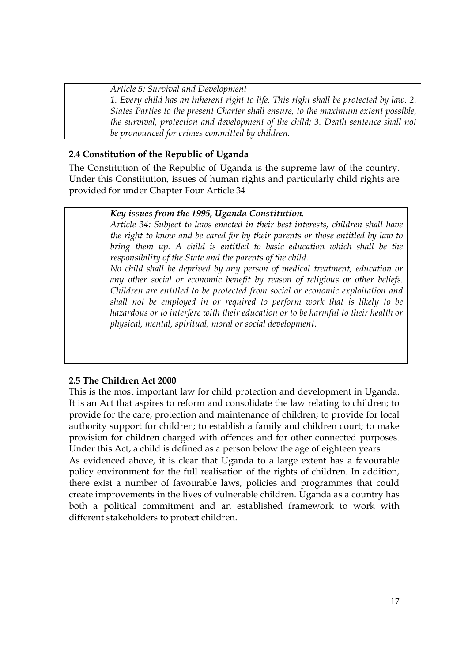*Article 5: Survival and Development 1. Every child has an inherent right to life. This right shall be protected by law. 2. States Parties to the present Charter shall ensure, to the maximum extent possible, the survival, protection and development of the child; 3. Death sentence shall not be pronounced for crimes committed by children.*

## **2.4 Constitution of the Republic of Uganda**

The Constitution of the Republic of Uganda is the supreme law of the country. Under this Constitution, issues of human rights and particularly child rights are provided for under Chapter Four Article 34

## *Key issues from the 1995, Uganda Constitution.*

*Article 34: Subject to laws enacted in their best interests, children shall have the right to know and be cared for by their parents or those entitled by law to bring them up. A child is entitled to basic education which shall be the responsibility of the State and the parents of the child.*

*No child shall be deprived by any person of medical treatment, education or any other social or economic benefit by reason of religious or other beliefs. Children are entitled to be protected from social or economic exploitation and shall not be employed in or required to perform work that is likely to be hazardous or to interfere with their education or to be harmful to their health or physical, mental, spiritual, moral or social development.*

### **2.5 The Children Act 2000**

This is the most important law for child protection and development in Uganda. It is an Act that aspires to reform and consolidate the law relating to children; to provide for the care, protection and maintenance of children; to provide for local authority support for children; to establish a family and children court; to make provision for children charged with offences and for other connected purposes. Under this Act, a child is defined as a person below the age of eighteen years As evidenced above, it is clear that Uganda to a large extent has a favourable policy environment for the full realisation of the rights of children. In addition, there exist a number of favourable laws, policies and programmes that could create improvements in the lives of vulnerable children. Uganda as a country has both a political commitment and an established framework to work with different stakeholders to protect children.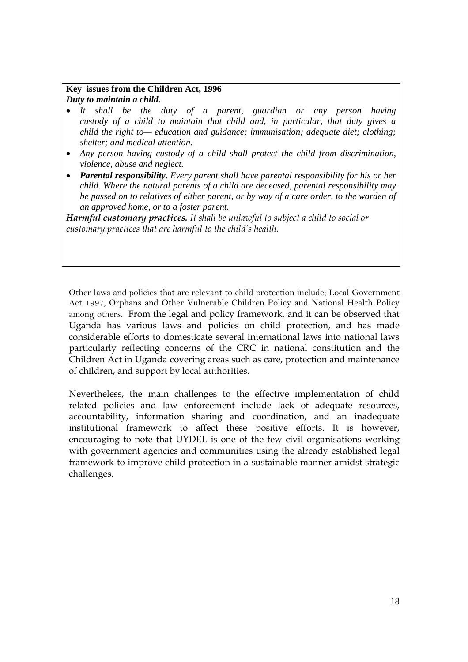#### **Key issues from the Children Act, 1996** *Duty to maintain a child.*

- *It shall be the duty of a parent, guardian or any person having custody of a child to maintain that child and, in particular, that duty gives a child the right to— education and guidance; immunisation; adequate diet; clothing; shelter; and medical attention.*
- *Any person having custody of a child shall protect the child from discrimination, violence, abuse and neglect.*
- *Parental responsibility. Every parent shall have parental responsibility for his or her child. Where the natural parents of a child are deceased, parental responsibility may be passed on to relatives of either parent, or by way of a care order, to the warden of an approved home, or to a foster parent.*

*Harmful customary practices. It shall be unlawful to subject a child to social or customary practices that are harmful to the child's health.*

Other laws and policies that are relevant to child protection include; Local Government Act 1997, Orphans and Other Vulnerable Children Policy and National Health Policy among others. From the legal and policy framework, and it can be observed that Uganda has various laws and policies on child protection, and has made considerable efforts to domesticate several international laws into national laws particularly reflecting concerns of the CRC in national constitution and the Children Act in Uganda covering areas such as care, protection and maintenance of children, and support by local authorities.

Nevertheless, the main challenges to the effective implementation of child related policies and law enforcement include lack of adequate resources, accountability, information sharing and coordination, and an inadequate institutional framework to affect these positive efforts. It is however, encouraging to note that UYDEL is one of the few civil organisations working with government agencies and communities using the already established legal framework to improve child protection in a sustainable manner amidst strategic challenges.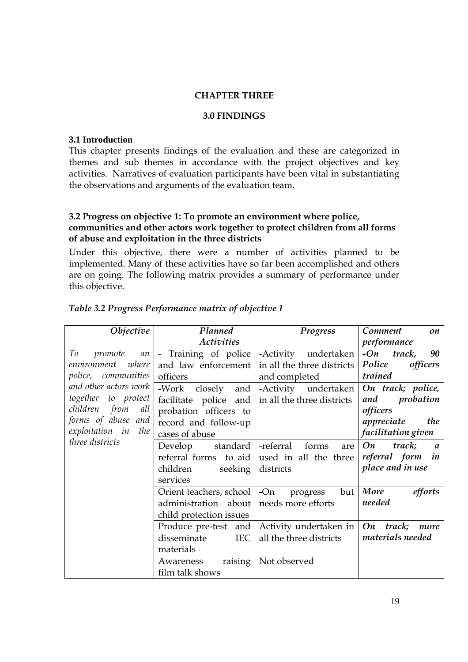#### **CHAPTER THREE**

#### **3.0 FINDINGS**

#### **3.1 Introduction**

This chapter presents findings of the evaluation and these are categorized in themes and sub themes in accordance with the project objectives and key activities. Narratives of evaluation participants have been vital in substantiating the observations and arguments of the evaluation team.

#### **3.2 Progress on objective 1: To promote an environment where police, communities and other actors work together to protect children from all forms of abuse and exploitation in the three districts**

Under this objective, there were a number of activities planned to be implemented. Many of these activities have so far been accomplished and others are on going. The following matrix provides a summary of performance under this objective.

| Objective                  | Planned                   | Progress                                | Comment<br>on                    |
|----------------------------|---------------------------|-----------------------------------------|----------------------------------|
|                            | Activities                |                                         | performance                      |
| To<br>promote<br>an        | - Training of police      | -Activity undertaken                    | $-On$<br>90<br>track,            |
| environment<br>where       | and law enforcement       | in all the three districts              | Police<br>officers               |
| <i>police, communities</i> | officers                  | and completed                           | trained                          |
| and other actors work      | -Work<br>and  <br>closely | -Activity undertaken On track; police,  |                                  |
| together to protect        | facilitate police and     | in all the three districts              | probation<br>and                 |
| children from<br>all       | probation officers to     |                                         | officers                         |
| forms of abuse and         | record and follow-up      |                                         | appreciate<br>the                |
| exploitation in the        | cases of abuse            |                                         | facilitation given               |
| three districts            | Develop<br>standard       | -referral<br>forms<br>are               | On<br>track;<br>$\boldsymbol{a}$ |
|                            | referral forms to aid     | used in all the three                   | referral form<br>in              |
|                            | children<br>seeking       | districts                               | place and in use                 |
|                            | services                  |                                         |                                  |
|                            | Orient teachers, school   | $-On$<br>but<br>progress                | More<br>efforts                  |
|                            | administration about      | needs more efforts                      | needed                           |
|                            | child protection issues   |                                         |                                  |
|                            | Produce pre-test and      | Activity undertaken in $\vert On \vert$ | track;<br>more                   |
|                            | <b>IEC</b><br>disseminate | all the three districts                 | materials needed                 |
|                            | materials                 |                                         |                                  |
|                            | raising<br>Awareness      | Not observed                            |                                  |
|                            | film talk shows           |                                         |                                  |

#### *Table 3.2 Progress Performance matrix of objective 1*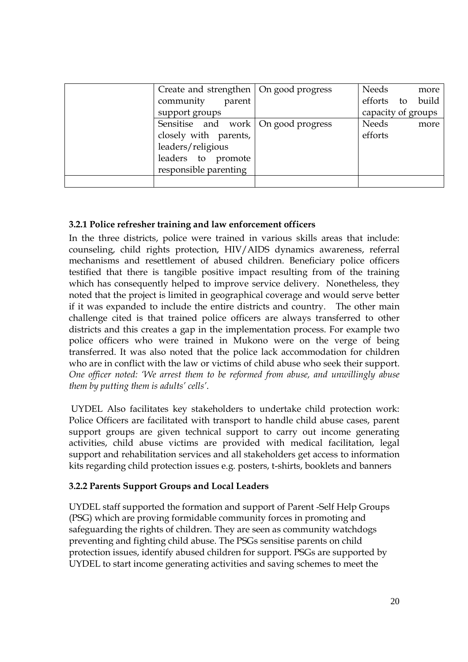| Create and strengthen   On good progress<br>community<br>parent<br>support groups                                                  | Needs<br>more<br>efforts to build<br>capacity of groups |
|------------------------------------------------------------------------------------------------------------------------------------|---------------------------------------------------------|
| Sensitise and work   On good progress<br>closely with parents,<br>leaders/religious<br>leaders to promote<br>responsible parenting | <b>Needs</b><br>more<br>efforts                         |
|                                                                                                                                    |                                                         |

## **3.2.1 Police refresher training and law enforcement officers**

In the three districts, police were trained in various skills areas that include: counseling, child rights protection, HIV/AIDS dynamics awareness, referral mechanisms and resettlement of abused children. Beneficiary police officers testified that there is tangible positive impact resulting from of the training which has consequently helped to improve service delivery. Nonetheless, they noted that the project is limited in geographical coverage and would serve better if it was expanded to include the entire districts and country. The other main challenge cited is that trained police officers are always transferred to other districts and this creates a gap in the implementation process. For example two police officers who were trained in Mukono were on the verge of being transferred. It was also noted that the police lack accommodation for children who are in conflict with the law or victims of child abuse who seek their support. *One officer noted: 'We arrest them to be reformed from abuse, and unwillingly abuse them by putting them is adults' cells'*.

UYDEL Also facilitates key stakeholders to undertake child protection work: Police Officers are facilitated with transport to handle child abuse cases, parent support groups are given technical support to carry out income generating activities, child abuse victims are provided with medical facilitation, legal support and rehabilitation services and all stakeholders get access to information kits regarding child protection issues e.g. posters, t-shirts, booklets and banners

## **3.2.2 Parents Support Groups and Local Leaders**

UYDEL staff supported the formation and support of Parent -Self Help Groups (PSG) which are proving formidable community forces in promoting and safeguarding the rights of children. They are seen as community watchdogs preventing and fighting child abuse. The PSGs sensitise parents on child protection issues, identify abused children for support. PSGs are supported by UYDEL to start income generating activities and saving schemes to meet the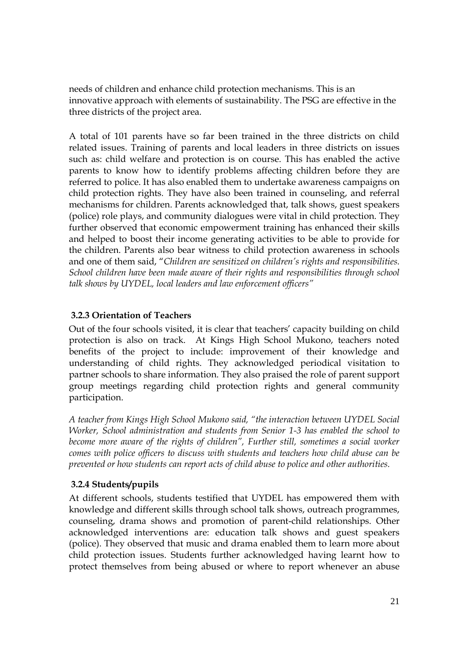needs of children and enhance child protection mechanisms. This is an innovative approach with elements of sustainability. The PSG are effective in the three districts of the project area.

A total of 101 parents have so far been trained in the three districts on child related issues. Training of parents and local leaders in three districts on issues such as: child welfare and protection is on course. This has enabled the active parents to know how to identify problems affecting children before they are referred to police. It has also enabled them to undertake awareness campaigns on child protection rights*.* They have also been trained in counseling, and referral mechanisms for children. Parents acknowledged that, talk shows, guest speakers (police) role plays, and community dialogues were vital in child protection. They further observed that economic empowerment training has enhanced their skills and helped to boost their income generating activities to be able to provide for the children. Parents also bear witness to child protection awareness in schools and one of them said, "*Children are sensitized on children's rights and responsibilities. School children have been made aware of their rights and responsibilities through school talk shows by UYDEL, local leaders and law enforcement officers"*

## **3.2.3 Orientation of Teachers**

Out of the four schools visited, it is clear that teachers' capacity building on child protection is also on track. At Kings High School Mukono, teachers noted benefits of the project to include: improvement of their knowledge and understanding of child rights. They acknowledged periodical visitation to partner schools to share information. They also praised the role of parent support group meetings regarding child protection rights and general community participation.

*A teacher from Kings High School Mukono said, "the interaction between UYDEL Social Worker, School administration and students from Senior 1-3 has enabled the school to become more aware of the rights of children", Further still, sometimes a social worker comes with police officers to discuss with students and teachers how child abuse can be prevented or how students can report acts of child abuse to police and other authorities.*

## **3.2.4 Students/pupils**

At different schools, students testified that UYDEL has empowered them with knowledge and different skills through school talk shows, outreach programmes, counseling, drama shows and promotion of parent-child relationships. Other acknowledged interventions are: education talk shows and guest speakers (police). They observed that music and drama enabled them to learn more about child protection issues. Students further acknowledged having learnt how to protect themselves from being abused or where to report whenever an abuse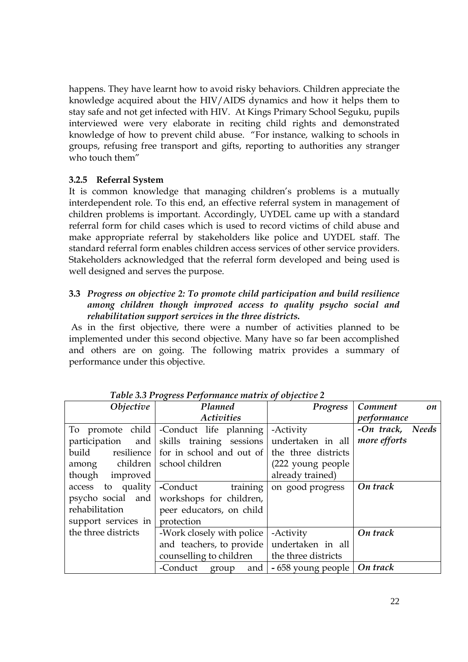happens. They have learnt how to avoid risky behaviors. Children appreciate the knowledge acquired about the HIV/AIDS dynamics and how it helps them to stay safe and not get infected with HIV. At Kings Primary School Seguku, pupils interviewed were very elaborate in reciting child rights and demonstrated knowledge of how to prevent child abuse. "For instance, walking to schools in groups, refusing free transport and gifts, reporting to authorities any stranger who touch them"

## **3.2.5 Referral System**

It is common knowledge that managing children's problems is a mutually interdependent role. To this end, an effective referral system in management of children problems is important. Accordingly, UYDEL came up with a standard referral form for child cases which is used to record victims of child abuse and make appropriate referral by stakeholders like police and UYDEL staff. The standard referral form enables children access services of other service providers. Stakeholders acknowledged that the referral form developed and being used is well designed and serves the purpose.

### **3.3** *Progress on objective 2: To promote child participation and build resilience among children though improved access to quality psycho social and rehabilitation support services in the three districts.*

As in the first objective, there were a number of activities planned to be implemented under this second objective. Many have so far been accomplished and others are on going. The following matrix provides a summary of performance under this objective.

| Objective                        | <b>Planned</b>                                | Progress                      | Comment<br>on    |
|----------------------------------|-----------------------------------------------|-------------------------------|------------------|
|                                  | <b>Activities</b>                             |                               | performance      |
|                                  | To promote child -Conduct life planning       | -Activity                     | -On track, Needs |
|                                  | participation and skills training sessions    | undertaken in all             | more efforts     |
| build resilience                 | for in school and out of the three districts  |                               |                  |
| among children   school children |                                               | (222 young people)            |                  |
| though improved                  |                                               | already trained)              |                  |
| access to quality                | -Conduct training                             | on good progress              | On track         |
| psycho social and                | workshops for children,                       |                               |                  |
| rehabilitation                   | peer educators, on child                      |                               |                  |
| support services in              | protection                                    |                               |                  |
| the three districts              | -Work closely with police                     | -Activity                     | On track         |
|                                  | and teachers, to provide undertaken in all    |                               |                  |
|                                  | counselling to children   the three districts |                               |                  |
|                                  | -Conduct group and                            | - 658 young people   On track |                  |

*Table 3.3 Progress Performance matrix of objective 2*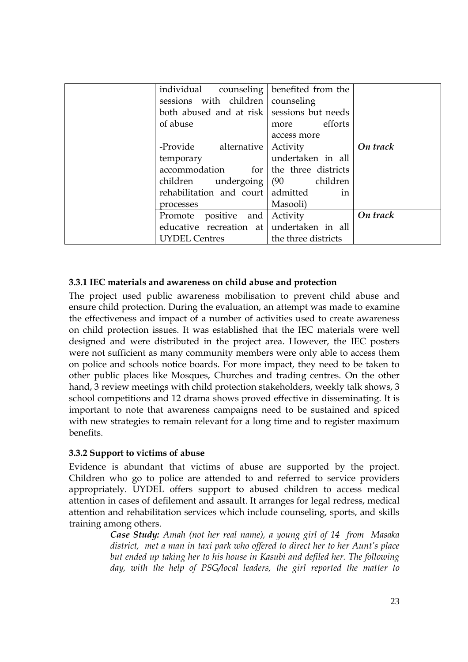| of abuse  | individual counseling<br>sessions with children | benefited from the<br>counseling<br>both abused and at risk sessions but needs<br>efforts<br>more |          |
|-----------|-------------------------------------------------|---------------------------------------------------------------------------------------------------|----------|
|           |                                                 | access more                                                                                       |          |
|           | -Provide alternative                            | Activity                                                                                          | On track |
| temporary |                                                 | undertaken in all                                                                                 |          |
|           | accommodation for                               | the three districts                                                                               |          |
|           |                                                 | children undergoing   (90 children                                                                |          |
|           | rehabilitation and court admitted               | in                                                                                                |          |
| processes |                                                 | Masooli)                                                                                          |          |
| Promote   | positive and                                    | Activity                                                                                          | On track |
|           |                                                 | educative recreation at undertaken in all                                                         |          |
|           | <b>UYDEL Centres</b>                            | the three districts                                                                               |          |

## **3.3.1 IEC materials and awareness on child abuse and protection**

The project used public awareness mobilisation to prevent child abuse and ensure child protection. During the evaluation, an attempt was made to examine the effectiveness and impact of a number of activities used to create awareness on child protection issues. It was established that the IEC materials were well designed and were distributed in the project area. However, the IEC posters were not sufficient as many community members were only able to access them on police and schools notice boards. For more impact, they need to be taken to other public places like Mosques, Churches and trading centres. On the other hand, 3 review meetings with child protection stakeholders, weekly talk shows, 3 school competitions and 12 drama shows proved effective in disseminating. It is important to note that awareness campaigns need to be sustained and spiced with new strategies to remain relevant for a long time and to register maximum benefits.

### **3.3.2 Support to victims of abuse**

Evidence is abundant that victims of abuse are supported by the project. Children who go to police are attended to and referred to service providers appropriately. UYDEL offers support to abused children to access medical attention in cases of defilement and assault. It arranges for legal redress, medical attention and rehabilitation services which include counseling, sports, and skills training among others.

*Case Study: Amah (not her real name), a young girl of 14 from Masaka district, met a man in taxi park who offered to direct her to her Aunt's place but ended up taking her to his house in Kasubi and defiled her. The following day, with the help of PSG/local leaders, the girl reported the matter to*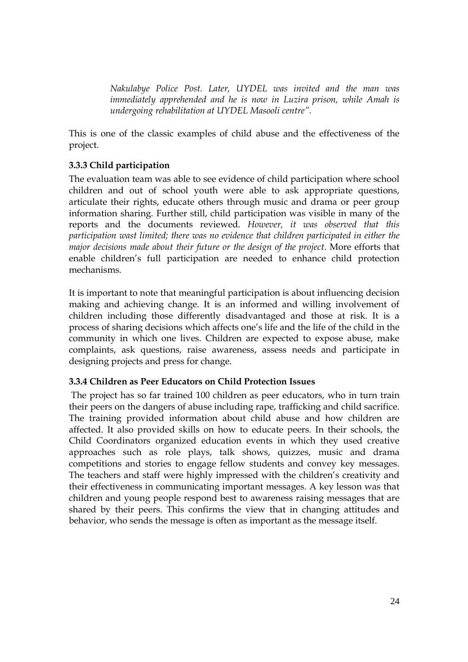*Nakulabye Police Post. Later, UYDEL was invited and the man was immediately apprehended and he is now in Luzira prison, while Amah is undergoing rehabilitation at UYDEL Masooli centre".*

This is one of the classic examples of child abuse and the effectiveness of the project.

## **3.3.3 Child participation**

The evaluation team was able to see evidence of child participation where school children and out of school youth were able to ask appropriate questions, articulate their rights, educate others through music and drama or peer group information sharing. Further still, child participation was visible in many of the reports and the documents reviewed. *However, it was observed that this participation wast limited; there was no evidence that children participated in either the major decisions made about their future or the design of the project*. More efforts that enable children's full participation are needed to enhance child protection mechanisms.

It is important to note that meaningful participation is about influencing decision making and achieving change. It is an informed and willing involvement of children including those differently disadvantaged and those at risk. It is a process of sharing decisions which affects one's life and the life of the child in the community in which one lives. Children are expected to expose abuse, make complaints, ask questions, raise awareness, assess needs and participate in designing projects and press for change.

### **3.3.4 Children as Peer Educators on Child Protection Issues**

The project has so far trained 100 children as peer educators, who in turn train their peers on the dangers of abuse including rape, trafficking and child sacrifice. The training provided information about child abuse and how children are affected. It also provided skills on how to educate peers. In their schools, the Child Coordinators organized education events in which they used creative approaches such as role plays, talk shows, quizzes, music and drama competitions and stories to engage fellow students and convey key messages. The teachers and staff were highly impressed with the children's creativity and their effectiveness in communicating important messages. A key lesson was that children and young people respond best to awareness raising messages that are shared by their peers. This confirms the view that in changing attitudes and behavior, who sends the message is often as important as the message itself.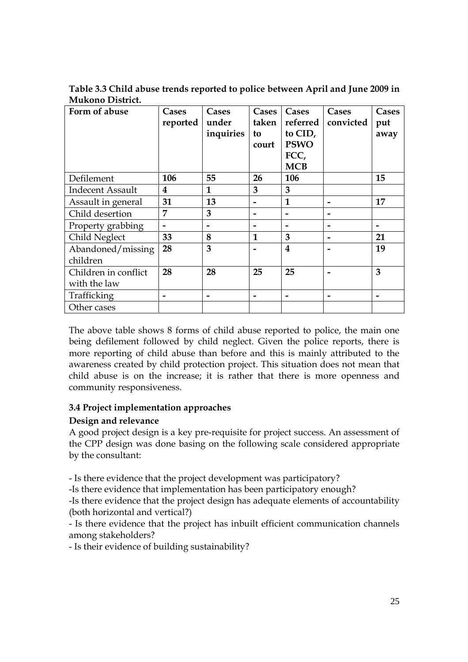**Table 3.3 Child abuse trends reported to police between April and June 2009 in Mukono District.**

| Form of abuse           | Cases<br>reported | Cases<br>under<br>inquiries | Cases<br>taken<br>to<br>court | Cases<br>referred<br>to CID,<br><b>PSWO</b><br>FCC,<br><b>MCB</b> | Cases<br>convicted | Cases<br>put<br>away |
|-------------------------|-------------------|-----------------------------|-------------------------------|-------------------------------------------------------------------|--------------------|----------------------|
| Defilement              | 106               | 55                          | 26                            | 106                                                               |                    | 15                   |
| <b>Indecent Assault</b> | 4                 | 1                           | 3                             | 3                                                                 |                    |                      |
| Assault in general      | 31                | 13                          |                               | 1                                                                 |                    | 17                   |
| Child desertion         | 7                 | 3                           |                               |                                                                   |                    |                      |
| Property grabbing       |                   |                             |                               |                                                                   |                    |                      |
| Child Neglect           | 33                | 8                           | $\mathbf{1}$                  | 3                                                                 |                    | 21                   |
| Abandoned/missing       | 28                | 3                           |                               | 4                                                                 |                    | 19                   |
| children                |                   |                             |                               |                                                                   |                    |                      |
| Children in conflict    | 28                | 28                          | 25                            | 25                                                                |                    | 3                    |
| with the law            |                   |                             |                               |                                                                   |                    |                      |
| Trafficking             |                   |                             |                               |                                                                   |                    |                      |
| Other cases             |                   |                             |                               |                                                                   |                    |                      |

The above table shows 8 forms of child abuse reported to police, the main one being defilement followed by child neglect. Given the police reports, there is more reporting of child abuse than before and this is mainly attributed to the awareness created by child protection project. This situation does not mean that child abuse is on the increase; it is rather that there is more openness and community responsiveness.

### **3.4 Project implementation approaches**

## **Design and relevance**

A good project design is a key pre-requisite for project success. An assessment of the CPP design was done basing on the following scale considered appropriate by the consultant:

- Is there evidence that the project development was participatory?

-Is there evidence that implementation has been participatory enough?

-Is there evidence that the project design has adequate elements of accountability (both horizontal and vertical?)

- Is there evidence that the project has inbuilt efficient communication channels among stakeholders?

- Is their evidence of building sustainability?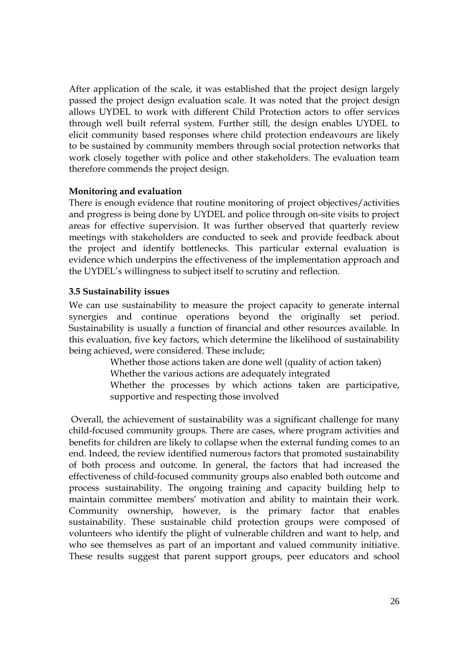After application of the scale, it was established that the project design largely passed the project design evaluation scale. It was noted that the project design allows UYDEL to work with different Child Protection actors to offer services through well built referral system. Further still, the design enables UYDEL to elicit community based responses where child protection endeavours are likely to be sustained by community members through social protection networks that work closely together with police and other stakeholders. The evaluation team therefore commends the project design.

#### **Monitoring and evaluation**

There is enough evidence that routine monitoring of project objectives/activities and progress is being done by UYDEL and police through on-site visits to project areas for effective supervision. It was further observed that quarterly review meetings with stakeholders are conducted to seek and provide feedback about the project and identify bottlenecks. This particular external evaluation is evidence which underpins the effectiveness of the implementation approach and the UYDEL's willingness to subject itself to scrutiny and reflection.

### **3.5 Sustainability issues**

We can use sustainability to measure the project capacity to generate internal synergies and continue operations beyond the originally set period. Sustainability is usually a function of financial and other resources available. In this evaluation, five key factors, which determine the likelihood of sustainability being achieved, were considered. These include;

Whether those actions taken are done well (quality of action taken)

Whether the various actions are adequately integrated

Whether the processes by which actions taken are participative, supportive and respecting those involved

Overall, the achievement of sustainability was a significant challenge for many child-focused community groups. There are cases, where program activities and benefits for children are likely to collapse when the external funding comes to an end. Indeed, the review identified numerous factors that promoted sustainability of both process and outcome. In general, the factors that had increased the effectiveness of child-focused community groups also enabled both outcome and process sustainability. The ongoing training and capacity building help to maintain committee members' motivation and ability to maintain their work. Community ownership, however, is the primary factor that enables sustainability. These sustainable child protection groups were composed of volunteers who identify the plight of vulnerable children and want to help, and who see themselves as part of an important and valued community initiative. These results suggest that parent support groups, peer educators and school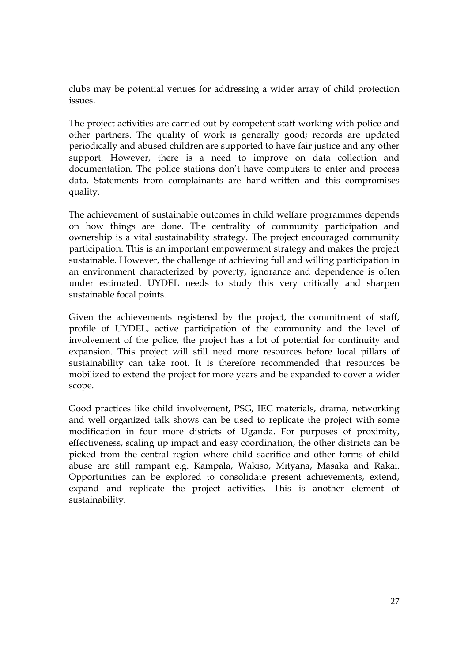clubs may be potential venues for addressing a wider array of child protection issues.

The project activities are carried out by competent staff working with police and other partners. The quality of work is generally good; records are updated periodically and abused children are supported to have fair justice and any other support. However, there is a need to improve on data collection and documentation. The police stations don't have computers to enter and process data. Statements from complainants are hand-written and this compromises quality.

The achievement of sustainable outcomes in child welfare programmes depends on how things are done. The centrality of community participation and ownership is a vital sustainability strategy. The project encouraged community participation. This is an important empowerment strategy and makes the project sustainable. However, the challenge of achieving full and willing participation in an environment characterized by poverty, ignorance and dependence is often under estimated. UYDEL needs to study this very critically and sharpen sustainable focal points.

Given the achievements registered by the project, the commitment of staff, profile of UYDEL, active participation of the community and the level of involvement of the police, the project has a lot of potential for continuity and expansion. This project will still need more resources before local pillars of sustainability can take root. It is therefore recommended that resources be mobilized to extend the project for more years and be expanded to cover a wider scope.

Good practices like child involvement, PSG, IEC materials, drama, networking and well organized talk shows can be used to replicate the project with some modification in four more districts of Uganda. For purposes of proximity, effectiveness, scaling up impact and easy coordination, the other districts can be picked from the central region where child sacrifice and other forms of child abuse are still rampant e.g. Kampala, Wakiso, Mityana, Masaka and Rakai. Opportunities can be explored to consolidate present achievements, extend, expand and replicate the project activities. This is another element of sustainability.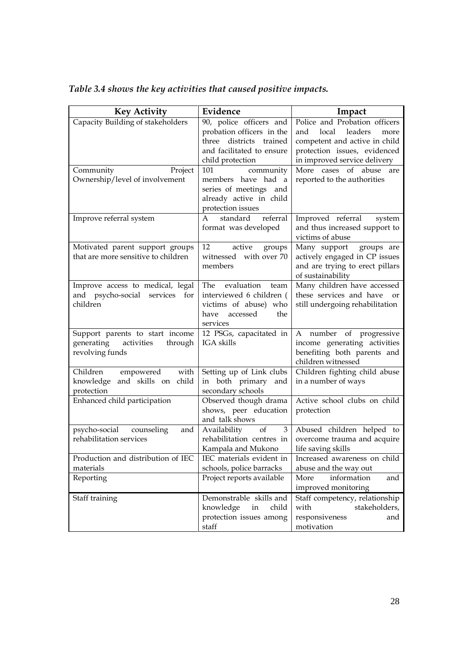| <b>Key Activity</b>                                                                       | Evidence                                                                                                                         | Impact                                                                                                                                                         |
|-------------------------------------------------------------------------------------------|----------------------------------------------------------------------------------------------------------------------------------|----------------------------------------------------------------------------------------------------------------------------------------------------------------|
| Capacity Building of stakeholders                                                         | 90, police officers and<br>probation officers in the<br>three districts trained<br>and facilitated to ensure<br>child protection | Police and Probation officers<br>local leaders<br>and<br>more<br>competent and active in child<br>protection issues, evidenced<br>in improved service delivery |
| Community<br>Project<br>Ownership/level of involvement                                    | community<br>101<br>members have had a<br>series of meetings and<br>already active in child<br>protection issues                 | abuse<br>More cases of<br>are<br>reported to the authorities                                                                                                   |
| Improve referral system                                                                   | standard<br>referral<br>A<br>format was developed                                                                                | Improved referral<br>system<br>and thus increased support to<br>victims of abuse                                                                               |
| Motivated parent support groups<br>that are more sensitive to children                    | 12<br>active<br>groups<br>witnessed with over 70<br>members                                                                      | Many support<br>groups are<br>actively engaged in CP issues<br>and are trying to erect pillars<br>of sustainability                                            |
| Improve access to medical, legal<br>and psycho-social services for<br>children            | The evaluation team<br>interviewed 6 children (<br>victims of abuse) who<br>accessed<br>have<br>the<br>services                  | Many children have accessed<br>these services and have<br>or<br>still undergoing rehabilitation                                                                |
| Support parents to start income<br>generating<br>activities<br>through<br>revolving funds | 12 PSGs, capacitated in<br>IGA skills                                                                                            | A number of progressive<br>income generating activities<br>benefiting both parents and<br>children witnessed                                                   |
| Children<br>empowered<br>with<br>knowledge and skills on child<br>protection              | Setting up of Link clubs<br>in both primary and<br>secondary schools                                                             | Children fighting child abuse<br>in a number of ways                                                                                                           |
| Enhanced child participation                                                              | Observed though drama<br>shows, peer education<br>and talk shows                                                                 | Active school clubs on child<br>protection                                                                                                                     |
| psycho-social counseling<br>and<br>rehabilitation services                                | Availability of<br>3<br>rehabilitation centres in<br>Kampala and Mukono                                                          | Abused children helped to<br>overcome trauma and acquire<br>life saving skills                                                                                 |
| Production and distribution of IEC<br>materials                                           | IEC materials evident in<br>schools, police barracks                                                                             | Increased awareness on child<br>abuse and the way out                                                                                                          |
| Reporting                                                                                 | Project reports available                                                                                                        | information<br>More<br>and<br>improved monitoring                                                                                                              |
| Staff training                                                                            | Demonstrable skills and<br>knowledge<br>child<br>in<br>protection issues among<br>staff                                          | Staff competency, relationship<br>stakeholders,<br>with<br>responsiveness<br>and<br>motivation                                                                 |

*Table 3.4 shows the key activities that caused positive impacts.*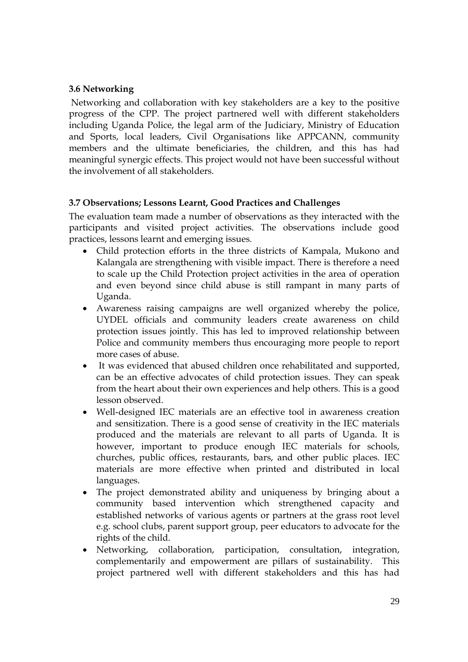## **3.6 Networking**

Networking and collaboration with key stakeholders are a key to the positive progress of the CPP. The project partnered well with different stakeholders including Uganda Police, the legal arm of the Judiciary, Ministry of Education and Sports, local leaders, Civil Organisations like APPCANN, community members and the ultimate beneficiaries, the children, and this has had meaningful synergic effects. This project would not have been successful without the involvement of all stakeholders.

### **3.7 Observations; Lessons Learnt, Good Practices and Challenges**

The evaluation team made a number of observations as they interacted with the participants and visited project activities. The observations include good practices, lessons learnt and emerging issues.

- Child protection efforts in the three districts of Kampala, Mukono and Kalangala are strengthening with visible impact. There is therefore a need to scale up the Child Protection project activities in the area of operation and even beyond since child abuse is still rampant in many parts of Uganda.
- Awareness raising campaigns are well organized whereby the police, UYDEL officials and community leaders create awareness on child protection issues jointly. This has led to improved relationship between Police and community members thus encouraging more people to report more cases of abuse.
- It was evidenced that abused children once rehabilitated and supported, can be an effective advocates of child protection issues. They can speak from the heart about their own experiences and help others. This is a good lesson observed.
- Well-designed IEC materials are an effective tool in awareness creation and sensitization. There is a good sense of creativity in the IEC materials produced and the materials are relevant to all parts of Uganda. It is however, important to produce enough IEC materials for schools, churches, public offices, restaurants, bars, and other public places. IEC materials are more effective when printed and distributed in local languages.
- The project demonstrated ability and uniqueness by bringing about a community based intervention which strengthened capacity and established networks of various agents or partners at the grass root level e.g. school clubs, parent support group, peer educators to advocate for the rights of the child.
- Networking, collaboration, participation, consultation, integration, complementarily and empowerment are pillars of sustainability. This project partnered well with different stakeholders and this has had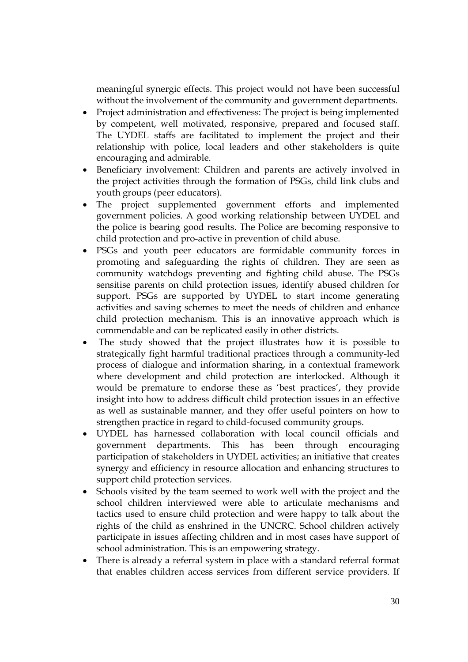meaningful synergic effects. This project would not have been successful without the involvement of the community and government departments.

- Project administration and effectiveness: The project is being implemented by competent, well motivated, responsive, prepared and focused staff. The UYDEL staffs are facilitated to implement the project and their relationship with police, local leaders and other stakeholders is quite encouraging and admirable.
- Beneficiary involvement: Children and parents are actively involved in the project activities through the formation of PSGs, child link clubs and youth groups (peer educators).
- The project supplemented government efforts and implemented government policies. A good working relationship between UYDEL and the police is bearing good results. The Police are becoming responsive to child protection and pro-active in prevention of child abuse.
- PSGs and youth peer educators are formidable community forces in promoting and safeguarding the rights of children. They are seen as community watchdogs preventing and fighting child abuse. The PSGs sensitise parents on child protection issues, identify abused children for support. PSGs are supported by UYDEL to start income generating activities and saving schemes to meet the needs of children and enhance child protection mechanism. This is an innovative approach which is commendable and can be replicated easily in other districts.
- The study showed that the project illustrates how it is possible to strategically fight harmful traditional practices through a community-led process of dialogue and information sharing, in a contextual framework where development and child protection are interlocked. Although it would be premature to endorse these as 'best practices', they provide insight into how to address difficult child protection issues in an effective as well as sustainable manner, and they offer useful pointers on how to strengthen practice in regard to child-focused community groups.
- UYDEL has harnessed collaboration with local council officials and government departments. This has been through encouraging participation of stakeholders in UYDEL activities; an initiative that creates synergy and efficiency in resource allocation and enhancing structures to support child protection services.
- Schools visited by the team seemed to work well with the project and the school children interviewed were able to articulate mechanisms and tactics used to ensure child protection and were happy to talk about the rights of the child as enshrined in the UNCRC. School children actively participate in issues affecting children and in most cases have support of school administration. This is an empowering strategy.
- There is already a referral system in place with a standard referral format that enables children access services from different service providers. If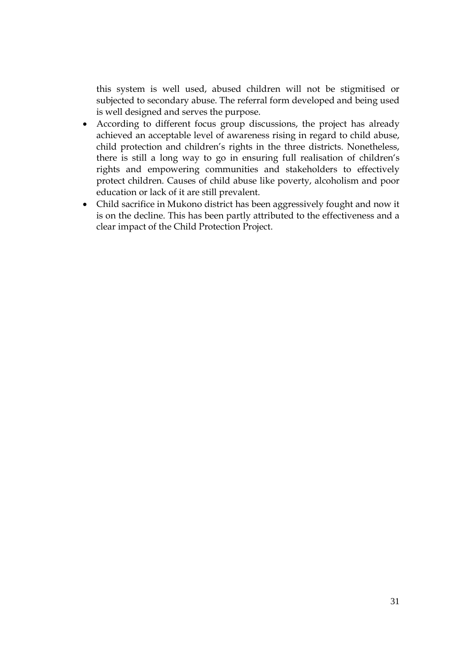this system is well used, abused children will not be stigmitised or subjected to secondary abuse. The referral form developed and being used is well designed and serves the purpose.

- According to different focus group discussions, the project has already achieved an acceptable level of awareness rising in regard to child abuse, child protection and children's rights in the three districts. Nonetheless, there is still a long way to go in ensuring full realisation of children's rights and empowering communities and stakeholders to effectively protect children. Causes of child abuse like poverty, alcoholism and poor education or lack of it are still prevalent.
- Child sacrifice in Mukono district has been aggressively fought and now it is on the decline. This has been partly attributed to the effectiveness and a clear impact of the Child Protection Project.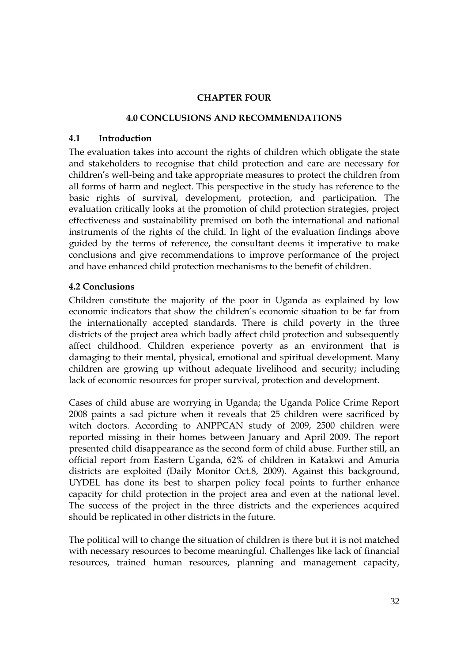#### **CHAPTER FOUR**

#### **4.0 CONCLUSIONS AND RECOMMENDATIONS**

#### **4.1 Introduction**

The evaluation takes into account the rights of children which obligate the state and stakeholders to recognise that child protection and care are necessary for children's well-being and take appropriate measures to protect the children from all forms of harm and neglect. This perspective in the study has reference to the basic rights of survival, development, protection, and participation. The evaluation critically looks at the promotion of child protection strategies, project effectiveness and sustainability premised on both the international and national instruments of the rights of the child. In light of the evaluation findings above guided by the terms of reference, the consultant deems it imperative to make conclusions and give recommendations to improve performance of the project and have enhanced child protection mechanisms to the benefit of children.

### **4.2 Conclusions**

Children constitute the majority of the poor in Uganda as explained by low economic indicators that show the children's economic situation to be far from the internationally accepted standards. There is child poverty in the three districts of the project area which badly affect child protection and subsequently affect childhood. Children experience poverty as an environment that is damaging to their mental, physical, emotional and spiritual development. Many children are growing up without adequate livelihood and security; including lack of economic resources for proper survival, protection and development.

Cases of child abuse are worrying in Uganda; the Uganda Police Crime Report 2008 paints a sad picture when it reveals that 25 children were sacrificed by witch doctors. According to ANPPCAN study of 2009, 2500 children were reported missing in their homes between January and April 2009. The report presented child disappearance as the second form of child abuse. Further still, an official report from Eastern Uganda, 62% of children in Katakwi and Amuria districts are exploited (Daily Monitor Oct.8, 2009). Against this background, UYDEL has done its best to sharpen policy focal points to further enhance capacity for child protection in the project area and even at the national level. The success of the project in the three districts and the experiences acquired should be replicated in other districts in the future.

The political will to change the situation of children is there but it is not matched with necessary resources to become meaningful. Challenges like lack of financial resources, trained human resources, planning and management capacity,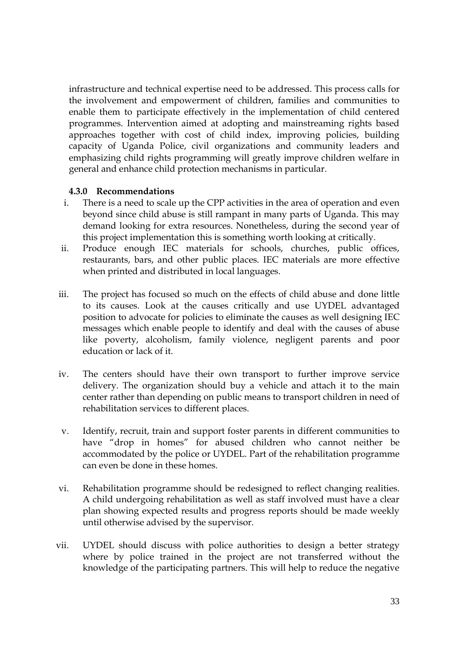infrastructure and technical expertise need to be addressed. This process calls for the involvement and empowerment of children, families and communities to enable them to participate effectively in the implementation of child centered programmes. Intervention aimed at adopting and mainstreaming rights based approaches together with cost of child index, improving policies, building capacity of Uganda Police, civil organizations and community leaders and emphasizing child rights programming will greatly improve children welfare in general and enhance child protection mechanisms in particular.

### **4.3.0 Recommendations**

- i. There is a need to scale up the CPP activities in the area of operation and even beyond since child abuse is still rampant in many parts of Uganda. This may demand looking for extra resources. Nonetheless, during the second year of this project implementation this is something worth looking at critically.
- ii. Produce enough IEC materials for schools, churches, public offices, restaurants, bars, and other public places. IEC materials are more effective when printed and distributed in local languages.
- iii. The project has focused so much on the effects of child abuse and done little to its causes. Look at the causes critically and use UYDEL advantaged position to advocate for policies to eliminate the causes as well designing IEC messages which enable people to identify and deal with the causes of abuse like poverty, alcoholism, family violence, negligent parents and poor education or lack of it.
- iv. The centers should have their own transport to further improve service delivery. The organization should buy a vehicle and attach it to the main center rather than depending on public means to transport children in need of rehabilitation services to different places.
- v. Identify, recruit, train and support foster parents in different communities to have "drop in homes" for abused children who cannot neither be accommodated by the police or UYDEL. Part of the rehabilitation programme can even be done in these homes.
- vi. Rehabilitation programme should be redesigned to reflect changing realities. A child undergoing rehabilitation as well as staff involved must have a clear plan showing expected results and progress reports should be made weekly until otherwise advised by the supervisor.
- vii. UYDEL should discuss with police authorities to design a better strategy where by police trained in the project are not transferred without the knowledge of the participating partners. This will help to reduce the negative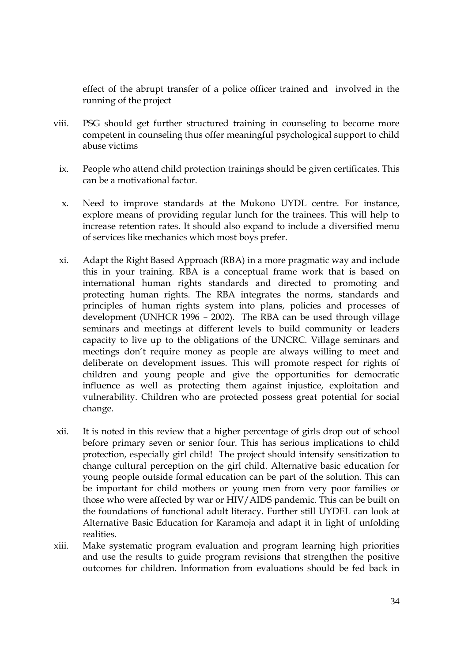effect of the abrupt transfer of a police officer trained and involved in the running of the project

- viii. PSG should get further structured training in counseling to become more competent in counseling thus offer meaningful psychological support to child abuse victims
	- ix. People who attend child protection trainings should be given certificates. This can be a motivational factor.
	- x. Need to improve standards at the Mukono UYDL centre. For instance, explore means of providing regular lunch for the trainees. This will help to increase retention rates. It should also expand to include a diversified menu of services like mechanics which most boys prefer.
	- xi. Adapt the Right Based Approach (RBA) in a more pragmatic way and include this in your training. RBA is a conceptual frame work that is based on international human rights standards and directed to promoting and protecting human rights. The RBA integrates the norms, standards and principles of human rights system into plans, policies and processes of development (UNHCR 1996 – 2002). The RBA can be used through village seminars and meetings at different levels to build community or leaders capacity to live up to the obligations of the UNCRC. Village seminars and meetings don't require money as people are always willing to meet and deliberate on development issues. This will promote respect for rights of children and young people and give the opportunities for democratic influence as well as protecting them against injustice, exploitation and vulnerability. Children who are protected possess great potential for social change.
- xii. It is noted in this review that a higher percentage of girls drop out of school before primary seven or senior four. This has serious implications to child protection, especially girl child! The project should intensify sensitization to change cultural perception on the girl child. Alternative basic education for young people outside formal education can be part of the solution. This can be important for child mothers or young men from very poor families or those who were affected by war or HIV/AIDS pandemic. This can be built on the foundations of functional adult literacy. Further still UYDEL can look at Alternative Basic Education for Karamoja and adapt it in light of unfolding realities.
- xiii. Make systematic program evaluation and program learning high priorities and use the results to guide program revisions that strengthen the positive outcomes for children. Information from evaluations should be fed back in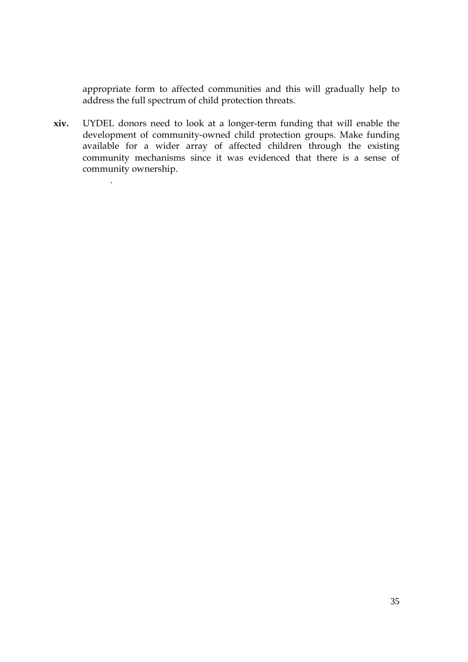appropriate form to affected communities and this will gradually help to address the full spectrum of child protection threats.

**xiv.** UYDEL donors need to look at a longer-term funding that will enable the development of community-owned child protection groups. Make funding available for a wider array of affected children through the existing community mechanisms since it was evidenced that there is a sense of community ownership.

.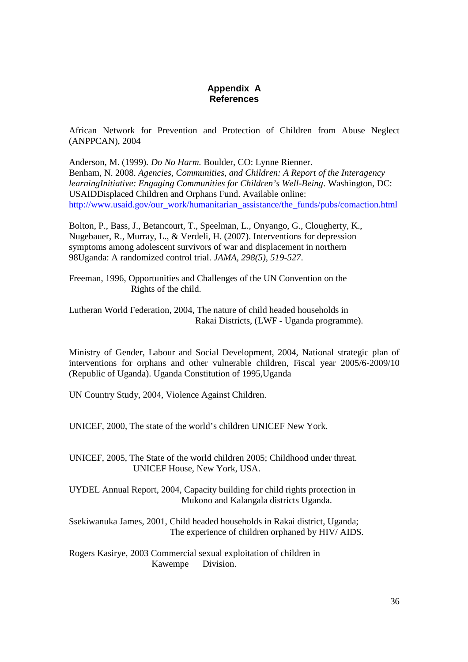#### **Appendix A References**

African Network for Prevention and Protection of Children from Abuse Neglect (ANPPCAN), 2004

Anderson, M. (1999)*. Do No Harm.* Boulder, CO: Lynne Rienner. Benham, N. 2008. *Agencies, Communities, and Children: A Report of the Interagency learningInitiative: Engaging Communities for Children's Well-Being*. Washington, DC: USAIDDisplaced Children and Orphans Fund. Available online: http://www.usaid.gov/our\_work/humanitarian\_assistance/the\_funds/pubs/comaction.html

Bolton, P., Bass, J., Betancourt, T., Speelman, L., Onyango, G., Clougherty, K., Nugebauer, R., Murray, L., & Verdeli, H. (2007). Interventions for depression symptoms among adolescent survivors of war and displacement in northern 98Uganda: A randomized control trial. *JAMA, 298(5), 519-527*.

Freeman, 1996, Opportunities and Challenges of the UN Convention on the Rights of the child.

Lutheran World Federation, 2004, The nature of child headed households in Rakai Districts, (LWF - Uganda programme).

Ministry of Gender, Labour and Social Development, 2004, National strategic plan of interventions for orphans and other vulnerable children, Fiscal year 2005/6-2009/10 (Republic of Uganda). Uganda Constitution of 1995,Uganda

UN Country Study, 2004, Violence Against Children.

UNICEF, 2000, The state of the world's children UNICEF New York.

UNICEF, 2005, The State of the world children 2005; Childhood under threat. UNICEF House, New York, USA.

UYDEL Annual Report, 2004, Capacity building for child rights protection in Mukono and Kalangala districts Uganda.

Ssekiwanuka James, 2001, Child headed households in Rakai district, Uganda; The experience of children orphaned by HIV/ AIDS.

Rogers Kasirye, 2003 Commercial sexual exploitation of children in Kawempe Division.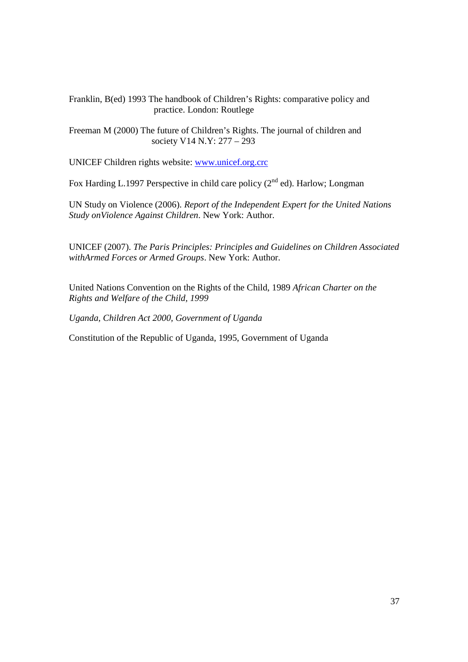Franklin, B(ed) 1993 The handbook of Children's Rights: comparative policy and practice. London: Routlege

Freeman M (2000) The future of Children's Rights. The journal of children and society V14 N.Y: 277 – 293

UNICEF Children rights website: www.unicef.org.crc

Fox Harding L.1997 Perspective in child care policy  $(2^{nd}$  ed). Harlow; Longman

UN Study on Violence (2006). *Report of the Independent Expert for the United Nations Study onViolence Against Children*. New York: Author.

UNICEF (2007). *The Paris Principles: Principles and Guidelines on Children Associated withArmed Forces or Armed Groups*. New York: Author.

United Nations Convention on the Rights of the Child, 1989 *African Charter on the Rights and Welfare of the Child, 1999*

*Uganda, Children Act 2000, Government of Uganda*

Constitution of the Republic of Uganda, 1995, Government of Uganda